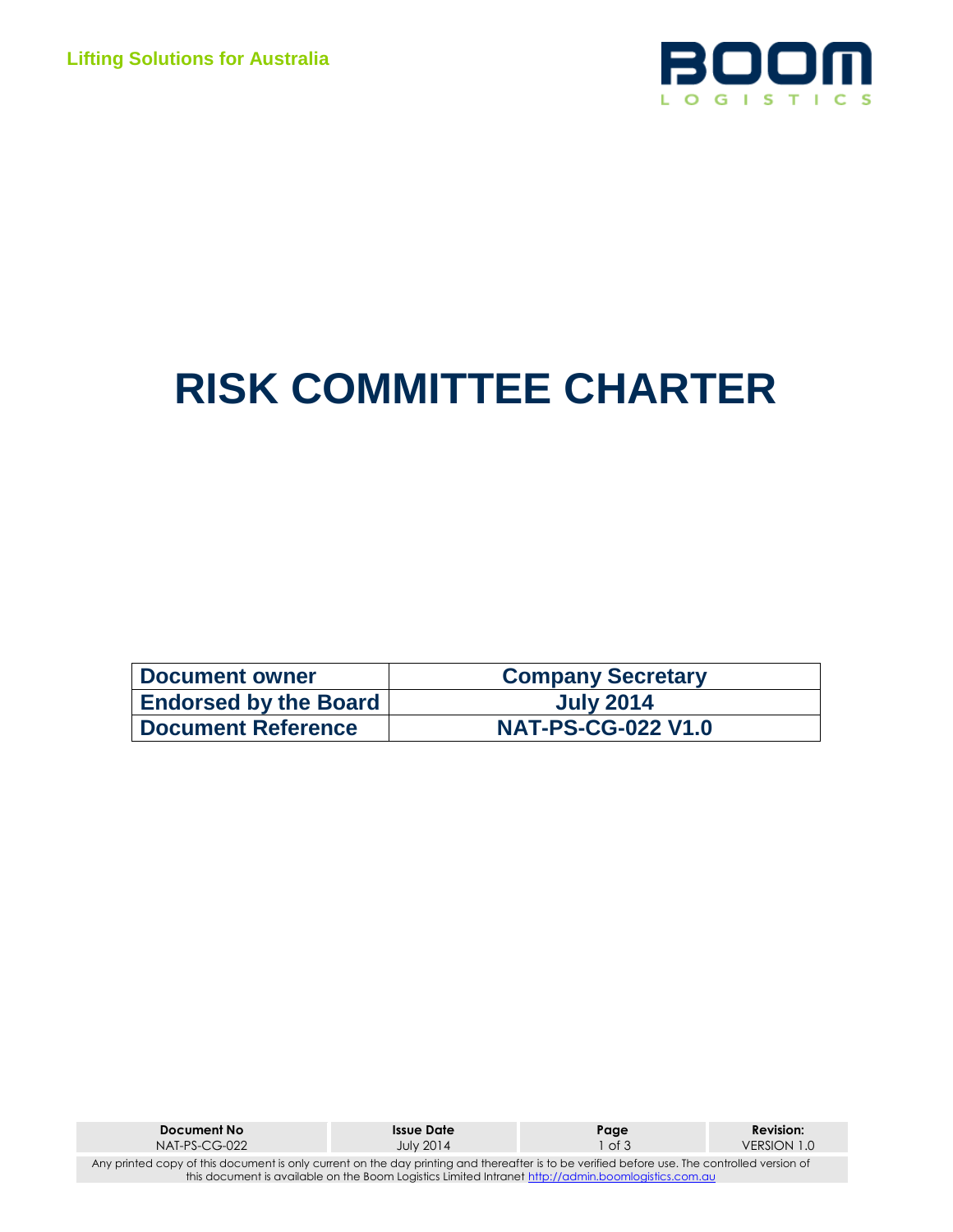

# **RISK COMMITTEE CHARTER**

| <b>Document owner</b>        | <b>Company Secretary</b>  |
|------------------------------|---------------------------|
| <b>Endorsed by the Board</b> | <b>July 2014</b>          |
| <b>Document Reference</b>    | <b>NAT-PS-CG-022 V1.0</b> |

| Document No                                                                                                                                  | <b>Issue Date</b> | Page   | <b>Revision:</b> |  |  |
|----------------------------------------------------------------------------------------------------------------------------------------------|-------------------|--------|------------------|--|--|
| $NAT-PS-CG-022$                                                                                                                              | <b>July 2014</b>  | 1 of 3 | VERSION 1.0      |  |  |
| Any printed copy of this document is only current on the day printing and thereafter is to be verified before use. The controlled version of |                   |        |                  |  |  |
| this document is available on the Boom Logistics Limited Intranet http://admin.boomlogistics.com.au                                          |                   |        |                  |  |  |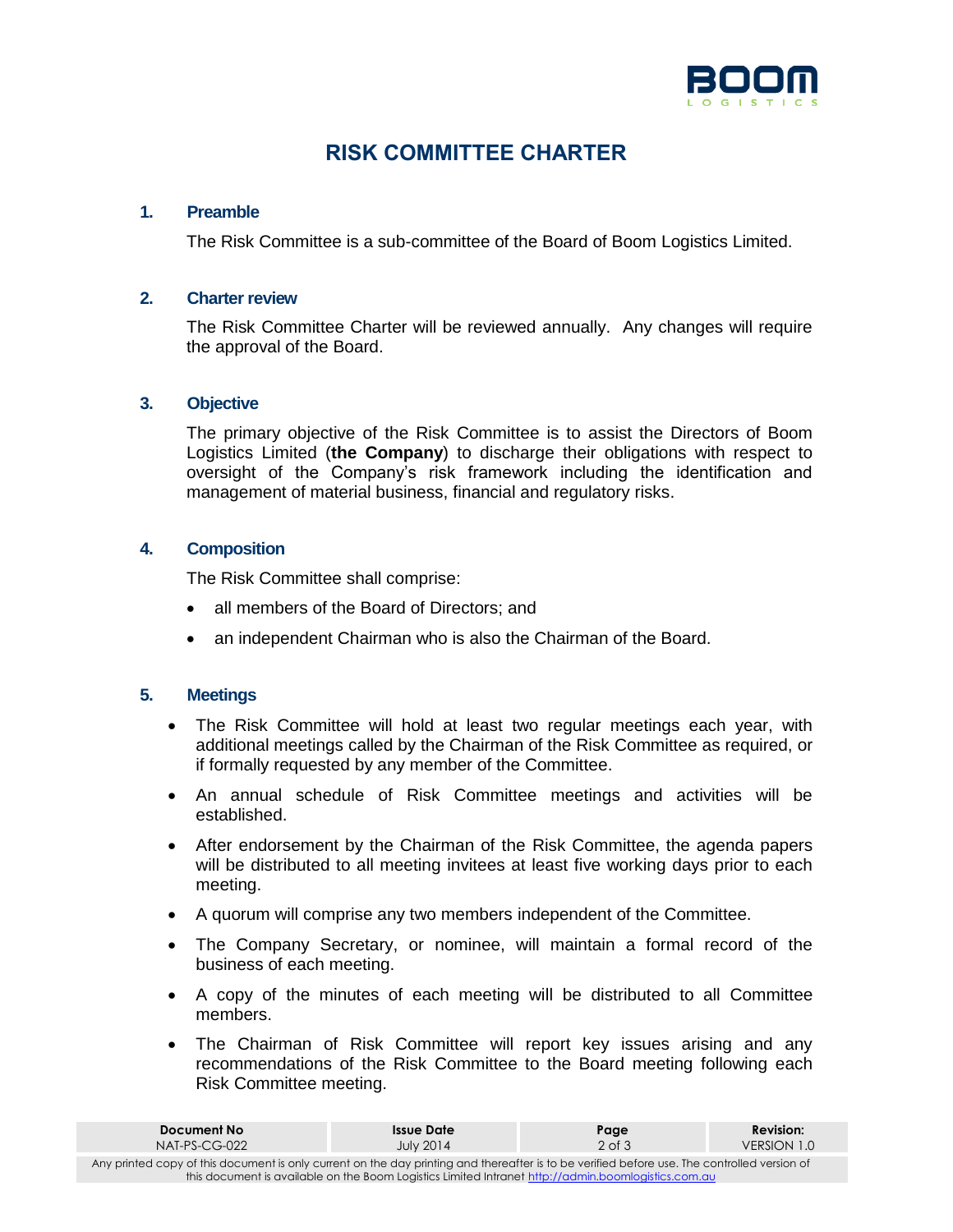

# **RISK COMMITTEE CHARTER**

# **1. Preamble**

The Risk Committee is a sub-committee of the Board of Boom Logistics Limited.

# **2. Charter review**

The Risk Committee Charter will be reviewed annually. Any changes will require the approval of the Board.

# **3. Objective**

The primary objective of the Risk Committee is to assist the Directors of Boom Logistics Limited (**the Company**) to discharge their obligations with respect to oversight of the Company's risk framework including the identification and management of material business, financial and regulatory risks.

# **4. Composition**

The Risk Committee shall comprise:

- all members of the Board of Directors; and
- an independent Chairman who is also the Chairman of the Board.

## **5. Meetings**

- The Risk Committee will hold at least two regular meetings each year, with additional meetings called by the Chairman of the Risk Committee as required, or if formally requested by any member of the Committee.
- An annual schedule of Risk Committee meetings and activities will be established.
- After endorsement by the Chairman of the Risk Committee, the agenda papers will be distributed to all meeting invitees at least five working days prior to each meeting.
- A quorum will comprise any two members independent of the Committee.
- The Company Secretary, or nominee, will maintain a formal record of the business of each meeting.
- A copy of the minutes of each meeting will be distributed to all Committee members.
- The Chairman of Risk Committee will report key issues arising and any recommendations of the Risk Committee to the Board meeting following each Risk Committee meeting.

| Document No                                                                                                                                  | <b>Issue Date</b> | Page       | <b>Revision:</b> |  |  |
|----------------------------------------------------------------------------------------------------------------------------------------------|-------------------|------------|------------------|--|--|
| $NAT-PS-CG-022$                                                                                                                              | <b>July 2014</b>  | $2$ of $3$ | VERSION 1.0      |  |  |
| Any printed copy of this document is only current on the day printing and thereafter is to be verified before use. The controlled version of |                   |            |                  |  |  |
| this document is available on the Boom Logistics Limited Intranet http://admin.boomlogistics.com.au                                          |                   |            |                  |  |  |